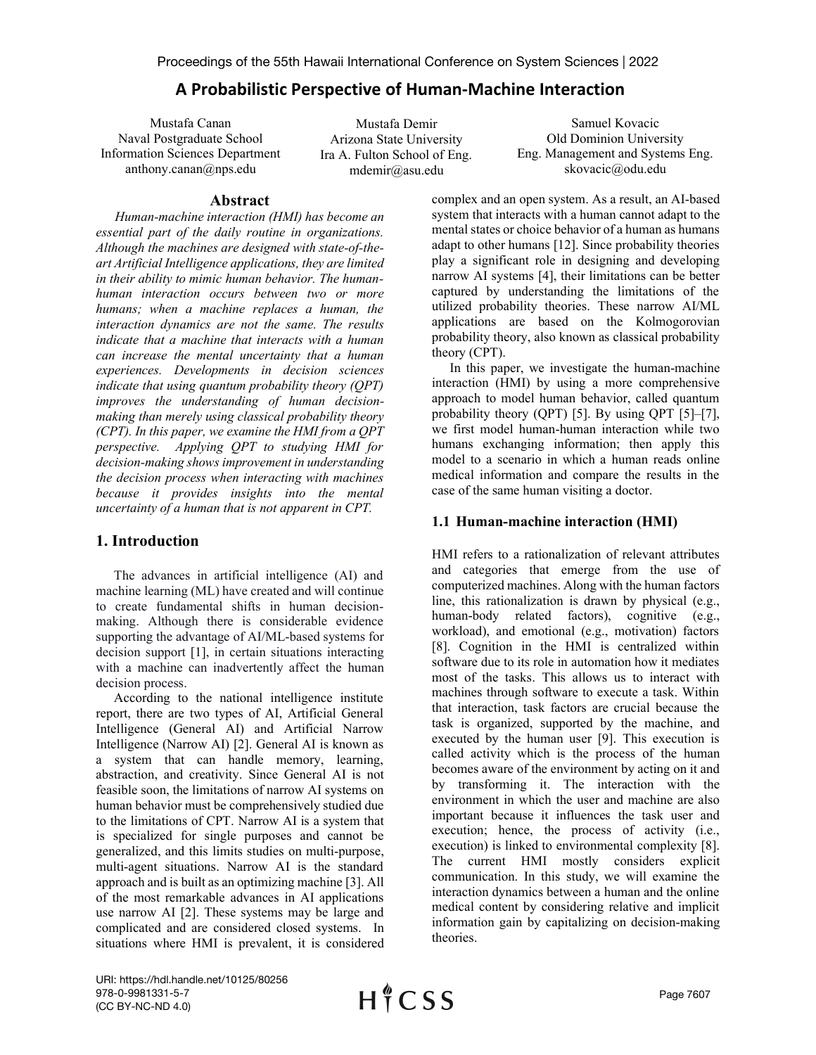# **A Probabilistic Perspective of Human-Machine Interaction**

Mustafa Canan Naval Postgraduate School Information Sciences Department anthony.canan@nps.edu

Mustafa Demir Arizona State University Ira A. Fulton School of Eng. mdemir@asu.edu

Samuel Kovacic Old Dominion University Eng. Management and Systems Eng. skovacic@odu.edu

# **Abstract**

*Human-machine interaction (HMI) has become an essential part of the daily routine in organizations. Although the machines are designed with state-of-theart Artificial Intelligence applications, they are limited in their ability to mimic human behavior. The humanhuman interaction occurs between two or more humans; when a machine replaces a human, the interaction dynamics are not the same. The results indicate that a machine that interacts with a human can increase the mental uncertainty that a human experiences. Developments in decision sciences indicate that using quantum probability theory (QPT) improves the understanding of human decisionmaking than merely using classical probability theory (CPT). In this paper, we examine the HMI from a QPT perspective. Applying QPT to studying HMI for decision-making shows improvement in understanding the decision process when interacting with machines because it provides insights into the mental uncertainty of a human that is not apparent in CPT.* 

# **1. Introduction**

The advances in artificial intelligence (AI) and machine learning (ML) have created and will continue to create fundamental shifts in human decisionmaking. Although there is considerable evidence supporting the advantage of AI/ML-based systems for decision support [1], in certain situations interacting with a machine can inadvertently affect the human decision process.

According to the national intelligence institute report, there are two types of AI, Artificial General Intelligence (General AI) and Artificial Narrow Intelligence (Narrow AI) [2]. General AI is known as a system that can handle memory, learning, abstraction, and creativity. Since General AI is not feasible soon, the limitations of narrow AI systems on human behavior must be comprehensively studied due to the limitations of CPT. Narrow AI is a system that is specialized for single purposes and cannot be generalized, and this limits studies on multi-purpose, multi-agent situations. Narrow AI is the standard approach and is built as an optimizing machine [3]. All of the most remarkable advances in AI applications use narrow AI [2]. These systems may be large and complicated and are considered closed systems. In situations where HMI is prevalent, it is considered

complex and an open system. As a result, an AI-based system that interacts with a human cannot adapt to the mental states or choice behavior of a human as humans adapt to other humans [12]. Since probability theories play a significant role in designing and developing narrow AI systems [4], their limitations can be better captured by understanding the limitations of the utilized probability theories. These narrow AI/ML applications are based on the Kolmogorovian probability theory, also known as classical probability theory (CPT).

In this paper, we investigate the human-machine interaction (HMI) by using a more comprehensive approach to model human behavior, called quantum probability theory (QPT) [5]. By using QPT [5]–[7], we first model human-human interaction while two humans exchanging information; then apply this model to a scenario in which a human reads online medical information and compare the results in the case of the same human visiting a doctor.

# **1.1 Human-machine interaction (HMI)**

HMI refers to a rationalization of relevant attributes and categories that emerge from the use of computerized machines. Along with the human factors line, this rationalization is drawn by physical (e.g., human-body related factors), cognitive (e.g., workload), and emotional (e.g., motivation) factors [8]. Cognition in the HMI is centralized within software due to its role in automation how it mediates most of the tasks. This allows us to interact with machines through software to execute a task. Within that interaction, task factors are crucial because the task is organized, supported by the machine, and executed by the human user [9]. This execution is called activity which is the process of the human becomes aware of the environment by acting on it and by transforming it. The interaction with the environment in which the user and machine are also important because it influences the task user and execution; hence, the process of activity (i.e., execution) is linked to environmental complexity [8]. The current HMI mostly considers explicit communication. In this study, we will examine the interaction dynamics between a human and the online medical content by considering relative and implicit information gain by capitalizing on decision-making theories.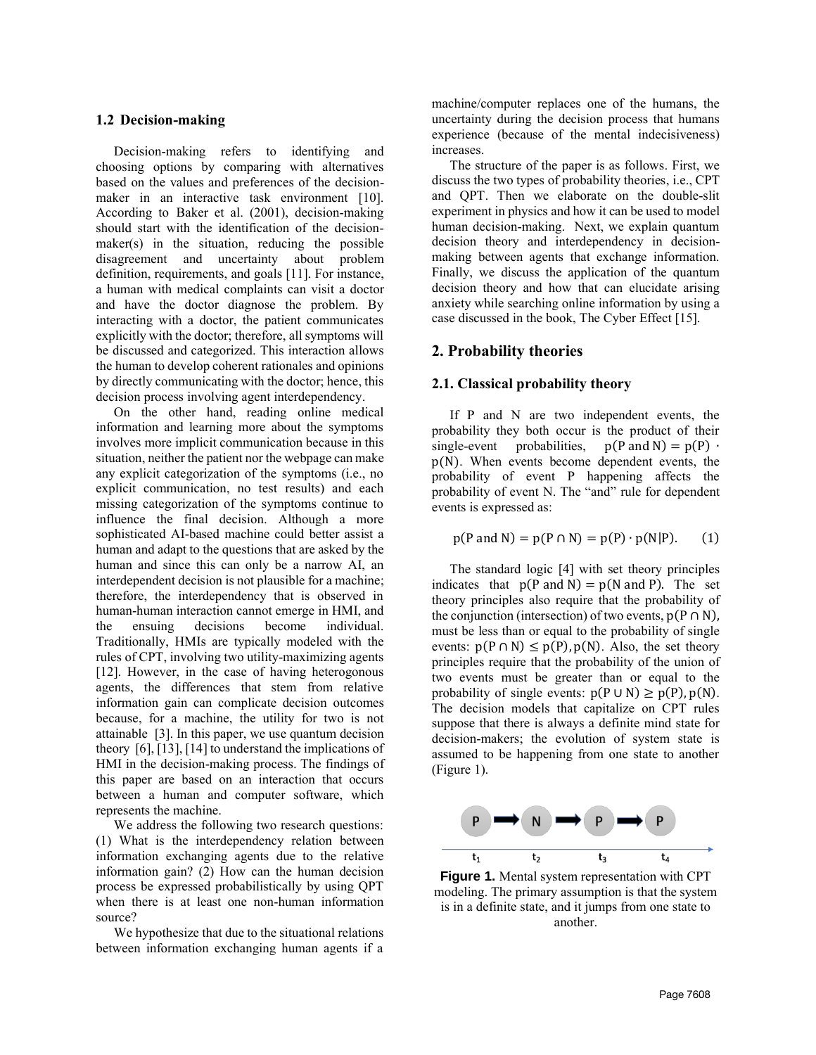#### **1.2 Decision-making**

Decision-making refers to identifying and choosing options by comparing with alternatives based on the values and preferences of the decisionmaker in an interactive task environment [10]. According to Baker et al. (2001), decision-making should start with the identification of the decisionmaker(s) in the situation, reducing the possible disagreement and uncertainty about problem definition, requirements, and goals [11]. For instance, a human with medical complaints can visit a doctor and have the doctor diagnose the problem. By interacting with a doctor, the patient communicates explicitly with the doctor; therefore, all symptoms will be discussed and categorized. This interaction allows the human to develop coherent rationales and opinions by directly communicating with the doctor; hence, this decision process involving agent interdependency.

On the other hand, reading online medical information and learning more about the symptoms involves more implicit communication because in this situation, neither the patient nor the webpage can make any explicit categorization of the symptoms (i.e., no explicit communication, no test results) and each missing categorization of the symptoms continue to influence the final decision. Although a more sophisticated AI-based machine could better assist a human and adapt to the questions that are asked by the human and since this can only be a narrow AI, an interdependent decision is not plausible for a machine; therefore, the interdependency that is observed in human-human interaction cannot emerge in HMI, and the ensuing decisions become individual. Traditionally, HMIs are typically modeled with the rules of CPT, involving two utility-maximizing agents [12]. However, in the case of having heterogonous agents, the differences that stem from relative information gain can complicate decision outcomes because, for a machine, the utility for two is not attainable [3]. In this paper, we use quantum decision theory [6], [13], [14] to understand the implications of HMI in the decision-making process. The findings of this paper are based on an interaction that occurs between a human and computer software, which represents the machine.

We address the following two research questions: (1) What is the interdependency relation between information exchanging agents due to the relative information gain? (2) How can the human decision process be expressed probabilistically by using QPT when there is at least one non-human information source?

We hypothesize that due to the situational relations between information exchanging human agents if a machine/computer replaces one of the humans, the uncertainty during the decision process that humans experience (because of the mental indecisiveness) increases.

The structure of the paper is as follows. First, we discuss the two types of probability theories, i.e., CPT and QPT. Then we elaborate on the double-slit experiment in physics and how it can be used to model human decision-making. Next, we explain quantum decision theory and interdependency in decisionmaking between agents that exchange information. Finally, we discuss the application of the quantum decision theory and how that can elucidate arising anxiety while searching online information by using a case discussed in the book, The Cyber Effect [15].

## **2. Probability theories**

#### **2.1. Classical probability theory**

If P and N are two independent events, the probability they both occur is the product of their single-event probabilities,  $p(P \text{ and } N) = p(P)$ . p(N). When events become dependent events, the probability of event P happening affects the probability of event N. The "and" rule for dependent events is expressed as:

$$
p(P \text{ and } N) = p(P \cap N) = p(P) \cdot p(N|P). \tag{1}
$$

The standard logic [4] with set theory principles indicates that  $p(P \text{ and } N) = p(N \text{ and } P)$ . The set theory principles also require that the probability of the conjunction (intersection) of two events,  $p(P \cap N)$ , must be less than or equal to the probability of single events:  $p(P \cap N) \leq p(P)$ ,  $p(N)$ . Also, the set theory principles require that the probability of the union of two events must be greater than or equal to the probability of single events:  $p(P \cup N) \geq p(P), p(N)$ . The decision models that capitalize on CPT rules suppose that there is always a definite mind state for decision-makers; the evolution of system state is assumed to be happening from one state to another [\(Figure 1\)](#page-1-0).



<span id="page-1-0"></span>**Figure 1.** Mental system representation with CPT modeling. The primary assumption is that the system is in a definite state, and it jumps from one state to another.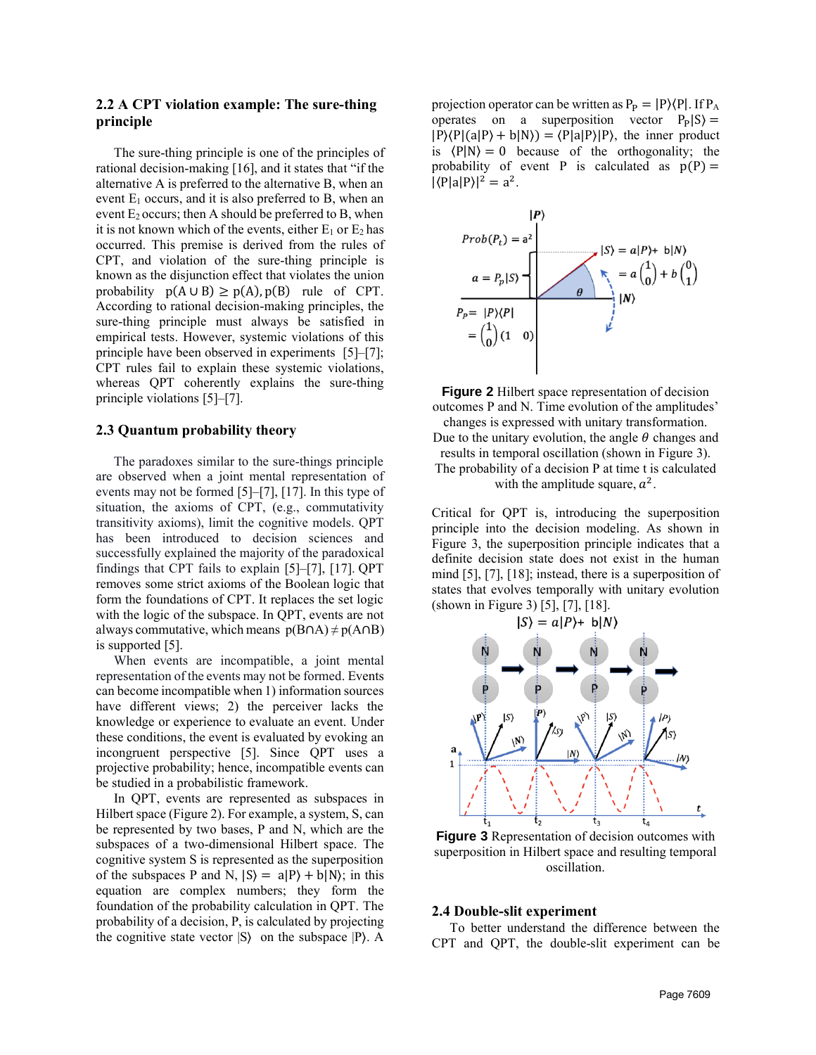### **2.2 A CPT violation example: The sure-thing principle**

The sure-thing principle is one of the principles of rational decision-making [16], and it states that "if the alternative A is preferred to the alternative B, when an event  $E_1$  occurs, and it is also preferred to B, when an event  $E_2$  occurs; then A should be preferred to B, when it is not known which of the events, either  $E_1$  or  $E_2$  has occurred. This premise is derived from the rules of CPT, and violation of the sure-thing principle is known as the disjunction effect that violates the union probability  $p(A \cup B) \geq p(A), p(B)$  rule of CPT. According to rational decision-making principles, the sure-thing principle must always be satisfied in empirical tests. However, systemic violations of this principle have been observed in experiments [5]–[7]; CPT rules fail to explain these systemic violations, whereas QPT coherently explains the sure-thing principle violations [5]–[7].

#### **2.3 Quantum probability theory**

The paradoxes similar to the sure-things principle are observed when a joint mental representation of events may not be formed [5]–[7], [17]. In this type of situation, the axioms of CPT, (e.g., commutativity transitivity axioms), limit the cognitive models. QPT has been introduced to decision sciences and successfully explained the majority of the paradoxical findings that CPT fails to explain [5]–[7], [17]. QPT removes some strict axioms of the Boolean logic that form the foundations of CPT. It replaces the set logic with the logic of the subspace. In QPT, events are not always commutative, which means  $p(B \cap A) \neq p(A \cap B)$ is supported [5].

When events are incompatible, a joint mental representation of the events may not be formed. Events can become incompatible when 1) information sources have different views; 2) the perceiver lacks the knowledge or experience to evaluate an event. Under these conditions, the event is evaluated by evoking an incongruent perspective [5]. Since QPT uses a projective probability; hence, incompatible events can be studied in a probabilistic framework.

In QPT, events are represented as subspaces in Hilbert space [\(Figure 2\)](#page-2-0). For example, a system, S, can be represented by two bases, P and N, which are the subspaces of a two-dimensional Hilbert space. The cognitive system S is represented as the superposition of the subspaces P and N,  $|S\rangle = a|P\rangle + b|N\rangle$ ; in this equation are complex numbers; they form the foundation of the probability calculation in QPT. The probability of a decision, P, is calculated by projecting the cognitive state vector  $|S\rangle$  on the subspace  $|P\rangle$ . A projection operator can be written as  $P_P = |P\rangle\langle P|$ . If  $P_A$ operates on a superposition vector  $P_P |S\rangle =$  $|P\rangle\langle P|(a|P\rangle + b|N\rangle) = \langle P|a|P\rangle|P\rangle$ , the inner product is  $\langle P|N\rangle = 0$  because of the orthogonality; the probability of event P is calculated as  $p(P) =$  $|\langle P|a|P\rangle|^2 = a^2$ .



<span id="page-2-0"></span>

Due to the unitary evolution, the angle  $\theta$  changes and results in temporal oscillation (shown in [Figure 3\)](#page-2-1). The probability of a decision P at time t is calculated

with the amplitude square,  $a^2$ .

Critical for QPT is, introducing the superposition principle into the decision modeling. As shown in [Figure 3,](#page-2-1) the superposition principle indicates that a definite decision state does not exist in the human mind [5], [7], [18]; instead, there is a superposition of states that evolves temporally with unitary evolution (shown in [Figure 3\)](#page-2-1) [5], [7], [18].



<span id="page-2-1"></span>**Figure 3** Representation of decision outcomes with superposition in Hilbert space and resulting temporal oscillation.

#### **2.4 Double-slit experiment**

To better understand the difference between the CPT and QPT, the double-slit experiment can be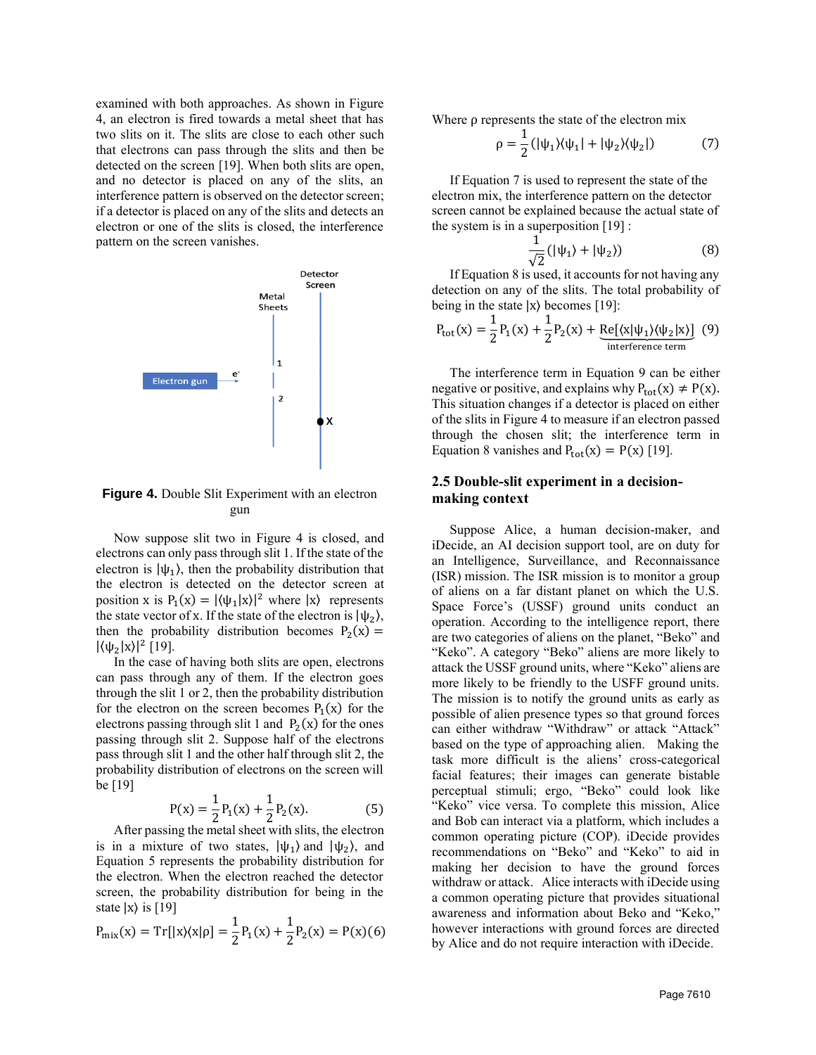examined with both approaches. As shown in [Figure](#page-3-0)  [4,](#page-3-0) an electron is fired towards a metal sheet that has two slits on it. The slits are close to each other such that electrons can pass through the slits and then be detected on the screen [19]. When both slits are open, and no detector is placed on any of the slits, an interference pattern is observed on the detector screen; if a detector is placed on any of the slits and detects an electron or one of the slits is closed, the interference pattern on the screen vanishes.



<span id="page-3-0"></span>**Figure 4.** Double Slit Experiment with an electron gun

Now suppose slit two in [Figure 4](#page-3-0) is closed, and electrons can only pass through slit 1. If the state of the electron is  $|\psi_1\rangle$ , then the probability distribution that the electron is detected on the detector screen at position x is  $P_1(x) = |\langle \psi_1 | x \rangle|^2$  where  $|x\rangle$  represents the state vector of x. If the state of the electron is  $|\psi_2\rangle$ , then the probability distribution becomes  $P_2(x) =$  $|\langle \psi_2 | x \rangle|^2$  [19].

In the case of having both slits are open, electrons can pass through any of them. If the electron goes through the slit 1 or 2, then the probability distribution for the electron on the screen becomes  $P_1(x)$  for the electrons passing through slit 1 and  $P_2(x)$  for the ones passing through slit 2. Suppose half of the electrons pass through slit 1 and the other half through slit 2, the probability distribution of electrons on the screen will be [19]

$$
P(x) = \frac{1}{2}P_1(x) + \frac{1}{2}P_2(x).
$$
 (5)

After passing the metal sheet with slits, the electron is in a mixture of two states,  $|\psi_1\rangle$  and  $|\psi_2\rangle$ , and Equation 5 represents the probability distribution for the electron. When the electron reached the detector screen, the probability distribution for being in the state  $|x\rangle$  is [19]

$$
P_{\text{mix}}(x) = \text{Tr}[|x\rangle\langle x|\rho] = \frac{1}{2}P_1(x) + \frac{1}{2}P_2(x) = P(x)(6)
$$

Where  $\rho$  represents the state of the electron mix

$$
\rho = \frac{1}{2} \left( |\psi_1\rangle \langle \psi_1| + |\psi_2\rangle \langle \psi_2| \right) \tag{7}
$$

If Equation 7 is used to represent the state of the electron mix, the interference pattern on the detector screen cannot be explained because the actual state of the system is in a superposition [19] :

$$
\frac{1}{\sqrt{2}}(|\psi_1\rangle + |\psi_2\rangle) \tag{8}
$$

If Equation 8 is used, it accounts for not having any detection on any of the slits. The total probability of being in the state  $|x\rangle$  becomes [19]:

$$
P_{\text{tot}}(x) = \frac{1}{2}P_1(x) + \frac{1}{2}P_2(x) + \underbrace{\text{Re}[(x|\psi_1\rangle\langle\psi_2|x)]}_{\text{interference term}} \tag{9}
$$

The interference term in Equation 9 can be either negative or positive, and explains why  $P_{tot}(x) \neq P(x)$ . This situation changes if a detector is placed on either of the slits i[n Figure 4](#page-3-0) to measure if an electron passed through the chosen slit; the interference term in Equation 8 vanishes and  $P_{tot}(x) = P(x)$  [19].

# **2.5 Double-slit experiment in a decisionmaking context**

Suppose Alice, a human decision-maker, and iDecide, an AI decision support tool, are on duty for an Intelligence, Surveillance, and Reconnaissance (ISR) mission. The ISR mission is to monitor a group of aliens on a far distant planet on which the U.S. Space Force's (USSF) ground units conduct an operation. According to the intelligence report, there are two categories of aliens on the planet, "Beko" and "Keko". A category "Beko" aliens are more likely to attack the USSF ground units, where "Keko" aliens are more likely to be friendly to the USFF ground units. The mission is to notify the ground units as early as possible of alien presence types so that ground forces can either withdraw "Withdraw" or attack "Attack" based on the type of approaching alien. Making the task more difficult is the aliens' cross-categorical facial features; their images can generate bistable perceptual stimuli; ergo, "Beko" could look like "Keko" vice versa. To complete this mission, Alice and Bob can interact via a platform, which includes a common operating picture (COP). iDecide provides recommendations on "Beko" and "Keko" to aid in making her decision to have the ground forces withdraw or attack. Alice interacts with iDecide using a common operating picture that provides situational awareness and information about Beko and "Keko," however interactions with ground forces are directed by Alice and do not require interaction with iDecide.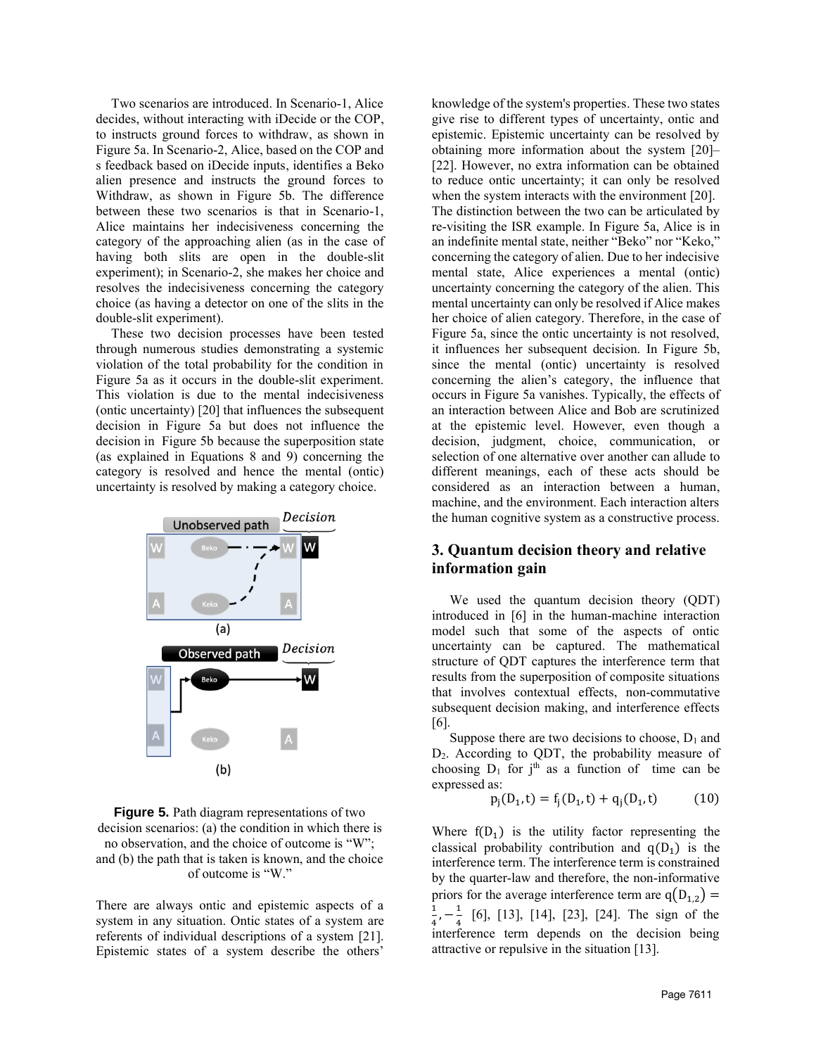Two scenarios are introduced. In Scenario-1, Alice decides, without interacting with iDecide or the COP, to instructs ground forces to withdraw, as shown in [Figure](#page-4-0) 5a. In Scenario-2, Alice, based on the COP and s feedback based on iDecide inputs, identifies a Beko alien presence and instructs the ground forces to Withdraw, as shown in [Figure](#page-4-0) 5b. The difference between these two scenarios is that in Scenario-1, Alice maintains her indecisiveness concerning the category of the approaching alien (as in the case of having both slits are open in the double-slit experiment); in Scenario-2, she makes her choice and resolves the indecisiveness concerning the category choice (as having a detector on one of the slits in the double-slit experiment).

These two decision processes have been tested through numerous studies demonstrating a systemic violation of the total probability for the condition in [Figure](#page-4-0) 5a as it occurs in the double-slit experiment. This violation is due to the mental indecisiveness (ontic uncertainty) [20] that influences the subsequent decision in [Figure](#page-4-0) 5a but does not influence the decision in Figure 5b because the superposition state (as explained in Equations 8 and 9) concerning the category is resolved and hence the mental (ontic) uncertainty is resolved by making a category choice.



### <span id="page-4-0"></span>**Figure 5.** Path diagram representations of two decision scenarios: (a) the condition in which there is no observation, and the choice of outcome is "W"; and (b) the path that is taken is known, and the choice of outcome is "W."

There are always ontic and epistemic aspects of a system in any situation. Ontic states of a system are referents of individual descriptions of a system [21]. Epistemic states of a system describe the others'

knowledge of the system's properties. These two states give rise to different types of uncertainty, ontic and epistemic. Epistemic uncertainty can be resolved by obtaining more information about the system [20]– [22]. However, no extra information can be obtained to reduce ontic uncertainty; it can only be resolved when the system interacts with the environment [20]. The distinction between the two can be articulated by re-visiting the ISR example. In [Figure](#page-4-0) 5a, Alice is in an indefinite mental state, neither "Beko" nor "Keko," concerning the category of alien. Due to her indecisive mental state, Alice experiences a mental (ontic) uncertainty concerning the category of the alien. This mental uncertainty can only be resolved if Alice makes her choice of alien category. Therefore, in the case of [Figure](#page-4-0) 5a, since the ontic uncertainty is not resolved, it influences her subsequent decision. In [Figure](#page-4-0) 5b, since the mental (ontic) uncertainty is resolved concerning the alien's category, the influence that occurs in [Figure](#page-4-0) 5a vanishes. Typically, the effects of an interaction between Alice and Bob are scrutinized at the epistemic level. However, even though a decision, judgment, choice, communication, or selection of one alternative over another can allude to different meanings, each of these acts should be considered as an interaction between a human, machine, and the environment. Each interaction alters the human cognitive system as a constructive process.

# **3. Quantum decision theory and relative information gain**

We used the quantum decision theory (QDT) introduced in [6] in the human-machine interaction model such that some of the aspects of ontic uncertainty can be captured. The mathematical structure of QDT captures the interference term that results from the superposition of composite situations that involves contextual effects, non-commutative subsequent decision making, and interference effects [6].

Suppose there are two decisions to choose,  $D_1$  and D2. According to QDT, the probability measure of choosing  $D_1$  for j<sup>th</sup> as a function of time can be expressed as:

$$
p_j(D_1, t) = f_j(D_1, t) + q_j(D_1, t)
$$
 (10)

Where  $f(D_1)$  is the utility factor representing the classical probability contribution and  $q(D_1)$  is the interference term. The interference term is constrained by the quarter-law and therefore, the non-informative priors for the average interference term are  $q(D_{1,2}) =$ 1  $\frac{1}{4}$ ,  $-\frac{1}{4}$  $\frac{1}{4}$  [6], [13], [14], [23], [24]. The sign of the interference term depends on the decision being attractive or repulsive in the situation [13].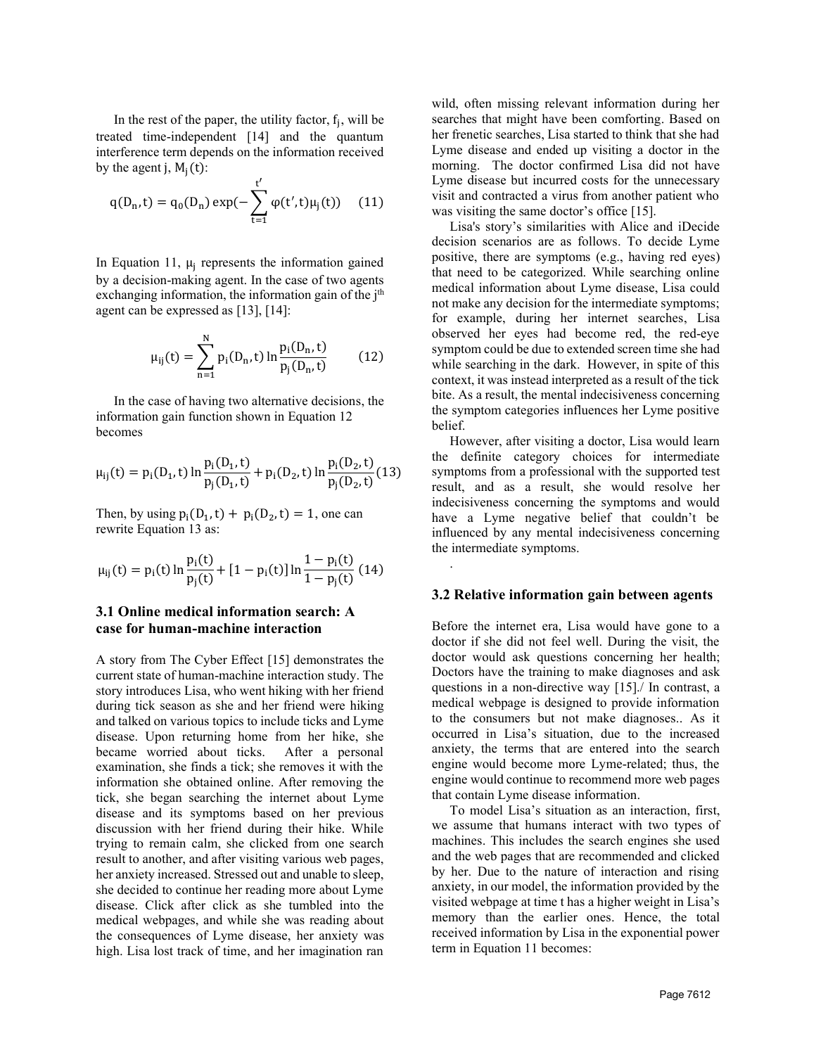In the rest of the paper, the utility factor,  $f_j$ , will be treated time-independent [14] and the quantum interference term depends on the information received by the agent j,  $M_i(t)$ :

$$
q(D_n, t) = q_0(D_n) \exp(-\sum_{t=1}^{t'} \varphi(t', t)\mu_j(t)) \quad (11)
$$

In Equation 11,  $\mu_j$  represents the information gained by a decision-making agent. In the case of two agents exchanging information, the information gain of the  $j<sup>th</sup>$ agent can be expressed as [13], [14]:

$$
\mu_{ij}(t) = \sum_{n=1}^{N} p_i(D_n, t) \ln \frac{p_i(D_n, t)}{p_j(D_n, t)}
$$
(12)

In the case of having two alternative decisions, the information gain function shown in Equation 12 becomes

$$
\mu_{ij}(t) = p_i(D_1, t) \ln \frac{p_i(D_1, t)}{p_j(D_1, t)} + p_i(D_2, t) \ln \frac{p_i(D_2, t)}{p_j(D_2, t)} (13)
$$

Then, by using  $p_i(D_1, t) + p_i(D_2, t) = 1$ , one can rewrite Equation 13 as:

$$
\mu_{ij}(t) = p_i(t) \ln \frac{p_i(t)}{p_j(t)} + [1 - p_i(t)] \ln \frac{1 - p_i(t)}{1 - p_j(t)} \tag{14}
$$

# **3.1 Online medical information search: A case for human-machine interaction**

A story from The Cyber Effect [15] demonstrates the current state of human-machine interaction study. The story introduces Lisa, who went hiking with her friend during tick season as she and her friend were hiking and talked on various topics to include ticks and Lyme disease. Upon returning home from her hike, she became worried about ticks. After a personal examination, she finds a tick; she removes it with the information she obtained online. After removing the tick, she began searching the internet about Lyme disease and its symptoms based on her previous discussion with her friend during their hike. While trying to remain calm, she clicked from one search result to another, and after visiting various web pages, her anxiety increased. Stressed out and unable to sleep, she decided to continue her reading more about Lyme disease. Click after click as she tumbled into the medical webpages, and while she was reading about the consequences of Lyme disease, her anxiety was high. Lisa lost track of time, and her imagination ran wild, often missing relevant information during her searches that might have been comforting. Based on her frenetic searches, Lisa started to think that she had Lyme disease and ended up visiting a doctor in the morning. The doctor confirmed Lisa did not have Lyme disease but incurred costs for the unnecessary visit and contracted a virus from another patient who was visiting the same doctor's office [15].

Lisa's story's similarities with Alice and iDecide decision scenarios are as follows. To decide Lyme positive, there are symptoms (e.g., having red eyes) that need to be categorized. While searching online medical information about Lyme disease, Lisa could not make any decision for the intermediate symptoms; for example, during her internet searches, Lisa observed her eyes had become red, the red-eye symptom could be due to extended screen time she had while searching in the dark. However, in spite of this context, it was instead interpreted as a result of the tick bite. As a result, the mental indecisiveness concerning the symptom categories influences her Lyme positive belief.

However, after visiting a doctor, Lisa would learn the definite category choices for intermediate symptoms from a professional with the supported test result, and as a result, she would resolve her indecisiveness concerning the symptoms and would have a Lyme negative belief that couldn't be influenced by any mental indecisiveness concerning the intermediate symptoms.

### **3.2 Relative information gain between agents**

.

Before the internet era, Lisa would have gone to a doctor if she did not feel well. During the visit, the doctor would ask questions concerning her health; Doctors have the training to make diagnoses and ask questions in a non-directive way [15]./ In contrast, a medical webpage is designed to provide information to the consumers but not make diagnoses.. As it occurred in Lisa's situation, due to the increased anxiety, the terms that are entered into the search engine would become more Lyme-related; thus, the engine would continue to recommend more web pages that contain Lyme disease information.

To model Lisa's situation as an interaction, first, we assume that humans interact with two types of machines. This includes the search engines she used and the web pages that are recommended and clicked by her. Due to the nature of interaction and rising anxiety, in our model, the information provided by the visited webpage at time t has a higher weight in Lisa's memory than the earlier ones. Hence, the total received information by Lisa in the exponential power term in Equation 11 becomes: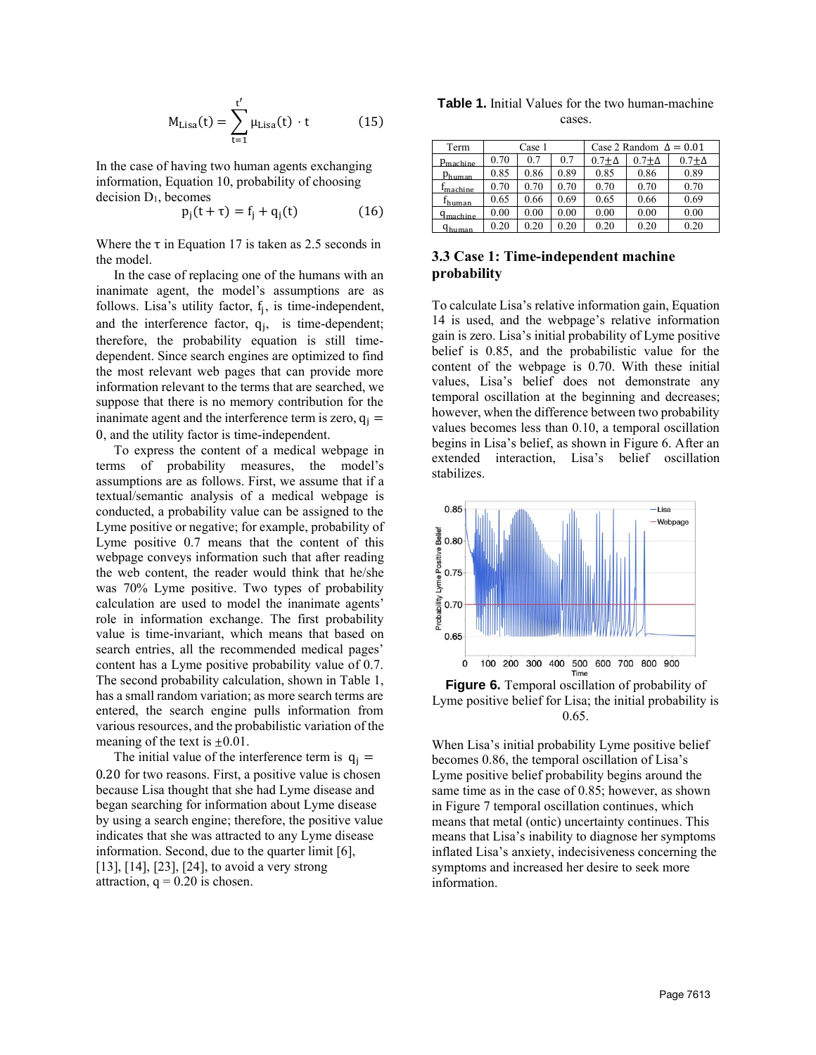$$
M_{\text{Lisa}}(t) = \sum_{t=1}^{t'} \mu_{\text{Lisa}}(t) \cdot t \tag{15}
$$

In the case of having two human agents exchanging information, Equation 10, probability of choosing decision  $D_1$ , becomes

$$
p_j(t + \tau) = f_j + q_j(t)
$$
 (16)

Where the  $\tau$  in Equation 17 is taken as 2.5 seconds in the model.

In the case of replacing one of the humans with an inanimate agent, the model's assumptions are as follows. Lisa's utility factor,  $f_j$ , is time-independent, and the interference factor,  $q_j$ , is time-dependent; therefore, the probability equation is still timedependent. Since search engines are optimized to find the most relevant web pages that can provide more information relevant to the terms that are searched, we suppose that there is no memory contribution for the inanimate agent and the interference term is zero,  $q_i$  = 0, and the utility factor is time-independent.

To express the content of a medical webpage in terms of probability measures, the model's assumptions are as follows. First, we assume that if a textual/semantic analysis of a medical webpage is conducted, a probability value can be assigned to the Lyme positive or negative; for example, probability of Lyme positive 0.7 means that the content of this webpage conveys information such that after reading the web content, the reader would think that he/she was 70% Lyme positive. Two types of probability calculation are used to model the inanimate agents' role in information exchange. The first probability value is time-invariant, which means that based on search entries, all the recommended medical pages' content has a Lyme positive probability value of 0.7. The second probability calculation, shown in Table 1, has a small random variation; as more search terms are entered, the search engine pulls information from various resources, and the probabilistic variation of the meaning of the text is  $\pm 0.01$ .

The initial value of the interference term is  $q_i =$ 0.20 for two reasons. First, a positive value is chosen because Lisa thought that she had Lyme disease and began searching for information about Lyme disease by using a search engine; therefore, the positive value indicates that she was attracted to any Lyme disease information. Second, due to the quarter limit [6], [13], [14], [23], [24], to avoid a very strong attraction,  $q = 0.20$  is chosen.

**Table 1.** Initial Values for the two human-machine cases.

| Term                 | Case 1 |      |      | Case 2 Random $\Delta = 0.01$ |              |                |
|----------------------|--------|------|------|-------------------------------|--------------|----------------|
| $p_{machine}$        | 0.70   | 0.7  | 0.7  | $0.7+\Delta$                  | $0.7+\Delta$ | $0.7 + \Delta$ |
| $p_{\text{human}}$   | 0.85   | 0.86 | 0.89 | 0.85                          | 0.86         | 0.89           |
| $r_{machine}$        | 0.70   | 0.70 | 0.70 | 0.70                          | 0.70         | 0.70           |
| I <sub>human</sub>   | 0.65   | 0.66 | 0.69 | 0.65                          | 0.66         | 0.69           |
| $q_{\text{machine}}$ | 0.00   | 0.00 | 0.00 | 0.00                          | 0.00         | 0.00           |
| q <sub>human</sub>   | 0.20   | 0.20 | 0.20 | 0.20                          | 0.20         | 0.20           |

# **3.3 Case 1: Time-independent machine probability**

To calculate Lisa's relative information gain, Equation 14 is used, and the webpage's relative information gain is zero. Lisa's initial probability of Lyme positive belief is 0.85, and the probabilistic value for the content of the webpage is 0.70. With these initial values, Lisa's belief does not demonstrate any temporal oscillation at the beginning and decreases; however, when the difference between two probability values becomes less than 0.10, a temporal oscillation begins in Lisa's belief, as shown in Figure 6. After an extended interaction, Lisa's belief oscillation stabilizes.



**Figure 6.** Temporal oscillation of probability of Lyme positive belief for Lisa; the initial probability is 0.65.

When Lisa's initial probability Lyme positive belief becomes 0.86, the temporal oscillation of Lisa's Lyme positive belief probability begins around the same time as in the case of 0.85; however, as shown in Figure 7 temporal oscillation continues, which means that metal (ontic) uncertainty continues. This means that Lisa's inability to diagnose her symptoms inflated Lisa's anxiety, indecisiveness concerning the symptoms and increased her desire to seek more information.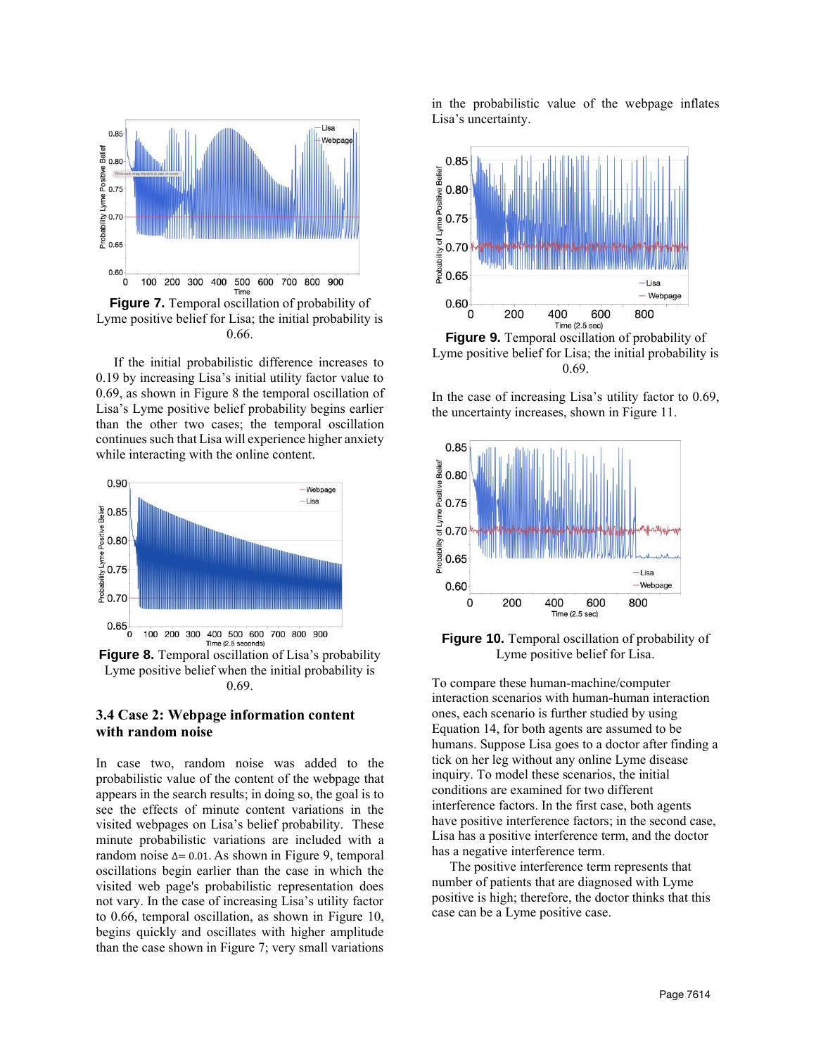

<span id="page-7-0"></span>**Figure 7.** Temporal oscillation of probability of Lyme positive belief for Lisa; the initial probability is 0.66.

If the initial probabilistic difference increases to 0.19 by increasing Lisa's initial utility factor value to 0.69, as shown in Figure 8 the temporal oscillation of Lisa's Lyme positive belief probability begins earlier than the other two cases; the temporal oscillation continues such that Lisa will experience higher anxiety while interacting with the online content.



**Figure 8.** Temporal oscillation of Lisa's probability Lyme positive belief when the initial probability is 0.69.

## **3.4 Case 2: Webpage information content with random noise**

In case two, random noise was added to the probabilistic value of the content of the webpage that appears in the search results; in doing so, the goal is to see the effects of minute content variations in the visited webpages on Lisa's belief probability. These minute probabilistic variations are included with a random noise  $∆= 0.01$ . As shown in Figure 9, temporal oscillations begin earlier than the case in which the visited web page's probabilistic representation does not vary. In the case of increasing Lisa's utility factor to 0.66, temporal oscillation, as shown in Figure 10, begins quickly and oscillates with higher amplitude than the case shown in [Figure 7;](#page-7-0) very small variations in the probabilistic value of the webpage inflates Lisa's uncertainty.



**Figure 9.** Temporal oscillation of probability of Lyme positive belief for Lisa; the initial probability is 0.69.

In the case of increasing Lisa's utility factor to 0.69, the uncertainty increases, shown in Figure 11.



**Figure 10.** Temporal oscillation of probability of Lyme positive belief for Lisa.

To compare these human-machine/computer interaction scenarios with human-human interaction ones, each scenario is further studied by using Equation 14, for both agents are assumed to be humans. Suppose Lisa goes to a doctor after finding a tick on her leg without any online Lyme disease inquiry. To model these scenarios, the initial conditions are examined for two different interference factors. In the first case, both agents have positive interference factors; in the second case, Lisa has a positive interference term, and the doctor has a negative interference term.

The positive interference term represents that number of patients that are diagnosed with Lyme positive is high; therefore, the doctor thinks that this case can be a Lyme positive case.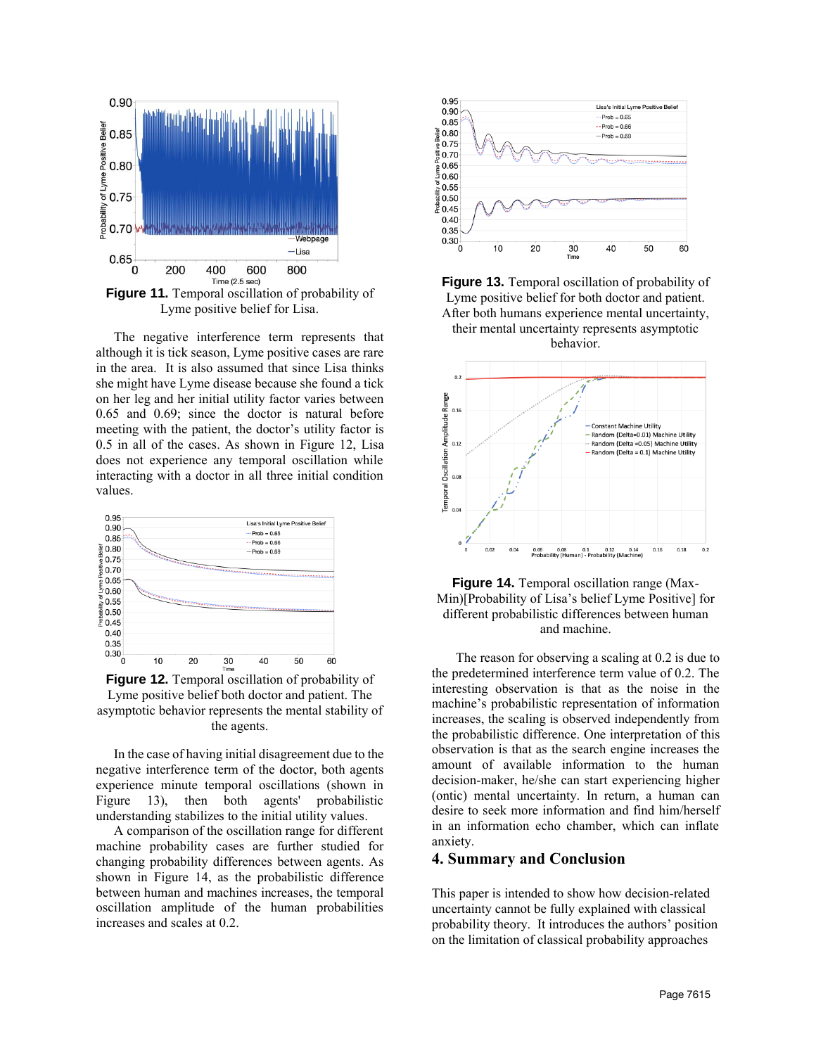

Lyme positive belief for Lisa.

The negative interference term represents that although it is tick season, Lyme positive cases are rare in the area. It is also assumed that since Lisa thinks she might have Lyme disease because she found a tick on her leg and her initial utility factor varies between 0.65 and 0.69; since the doctor is natural before meeting with the patient, the doctor's utility factor is 0.5 in all of the cases. As shown in Figure 12, Lisa does not experience any temporal oscillation while interacting with a doctor in all three initial condition values.



**Figure 12.** Temporal oscillation of probability of Lyme positive belief both doctor and patient. The asymptotic behavior represents the mental stability of the agents.

In the case of having initial disagreement due to the negative interference term of the doctor, both agents experience minute temporal oscillations (shown in Figure 13), then both agents' probabilistic understanding stabilizes to the initial utility values.

A comparison of the oscillation range for different machine probability cases are further studied for changing probability differences between agents. As shown in [Figure 14,](#page-8-0) as the probabilistic difference between human and machines increases, the temporal oscillation amplitude of the human probabilities increases and scales at 0.2.







<span id="page-8-0"></span>

The reason for observing a scaling at 0.2 is due to the predetermined interference term value of 0.2. The interesting observation is that as the noise in the machine's probabilistic representation of information increases, the scaling is observed independently from the probabilistic difference. One interpretation of this observation is that as the search engine increases the amount of available information to the human decision-maker, he/she can start experiencing higher (ontic) mental uncertainty. In return, a human can desire to seek more information and find him/herself in an information echo chamber, which can inflate anxiety.

### **4. Summary and Conclusion**

This paper is intended to show how decision-related uncertainty cannot be fully explained with classical probability theory. It introduces the authors' position on the limitation of classical probability approaches